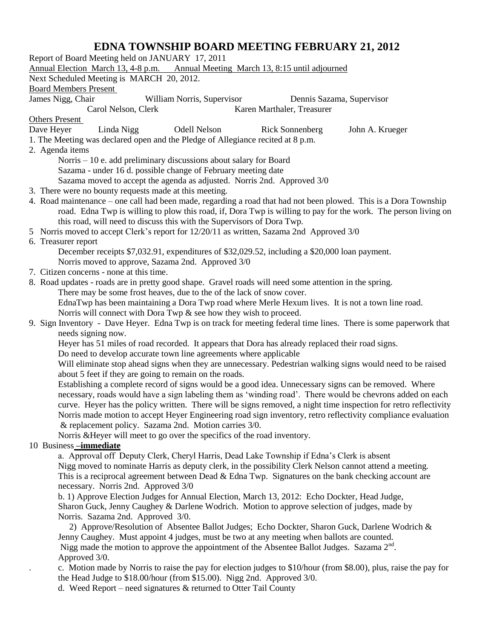## **EDNA TOWNSHIP BOARD MEETING FEBRUARY 21, 2012**

Report of Board Meeting held on JANUARY 17, 2011 Annual Election March 13, 4-8 p.m. Annual Meeting March 13, 8:15 until adjourned Next Scheduled Meeting is MARCH 20, 2012. Board Members Present James Nigg, Chair William Norris, Supervisor Dennis Sazama, Supervisor Carol Nelson, Clerk Karen Marthaler, Treasurer Others Present Dave Heyer Linda Nigg Odell Nelson Rick Sonnenberg John A. Krueger 1. The Meeting was declared open and the Pledge of Allegiance recited at 8 p.m. 2. Agenda items Norris – 10 e. add preliminary discussions about salary for Board Sazama - under 16 d. possible change of February meeting date Sazama moved to accept the agenda as adjusted. Norris 2nd. Approved 3/0 3. There were no bounty requests made at this meeting. 4. Road maintenance – one call had been made, regarding a road that had not been plowed. This is a Dora Township road. Edna Twp is willing to plow this road, if, Dora Twp is willing to pay for the work. The person living on this road, will need to discuss this with the Supervisors of Dora Twp. 5 Norris moved to accept Clerk's report for 12/20/11 as written, Sazama 2nd Approved 3/0 6. Treasurer report December receipts \$7,032.91, expenditures of \$32,029.52, including a \$20,000 loan payment. Norris moved to approve, Sazama 2nd. Approved 3/0 7. Citizen concerns - none at this time. 8. Road updates - roads are in pretty good shape. Gravel roads will need some attention in the spring. There may be some frost heaves, due to the of the lack of snow cover. EdnaTwp has been maintaining a Dora Twp road where Merle Hexum lives. It is not a town line road. Norris will connect with Dora Twp & see how they wish to proceed. 9. Sign Inventory - Dave Heyer. Edna Twp is on track for meeting federal time lines. There is some paperwork that needs signing now. Heyer has 51 miles of road recorded. It appears that Dora has already replaced their road signs. Do need to develop accurate town line agreements where applicable Will eliminate stop ahead signs when they are unnecessary. Pedestrian walking signs would need to be raised about 5 feet if they are going to remain on the roads. Establishing a complete record of signs would be a good idea. Unnecessary signs can be removed. Where necessary, roads would have a sign labeling them as 'winding road'. There would be chevrons added on each curve. Heyer has the policy written. There will be signs removed, a night time inspection for retro reflectivity Norris made motion to accept Heyer Engineering road sign inventory, retro reflectivity compliance evaluation & replacement policy. Sazama 2nd. Motion carries 3/0. Norris &Heyer will meet to go over the specifics of the road inventory. 10 Business **–immediate** a. Approval off Deputy Clerk, Cheryl Harris, Dead Lake Township if Edna's Clerk is absent Nigg moved to nominate Harris as deputy clerk, in the possibility Clerk Nelson cannot attend a meeting. This is a reciprocal agreement between Dead & Edna Twp. Signatures on the bank checking account are necessary. Norris 2nd. Approved 3/0 b. 1) Approve Election Judges for Annual Election, March 13, 2012: Echo Dockter, Head Judge, Sharon Guck, Jenny Caughey & Darlene Wodrich. Motion to approve selection of judges, made by Norris. Sazama 2nd. Approved 3/0.

 2) Approve/Resolution of Absentee Ballot Judges; Echo Dockter, Sharon Guck, Darlene Wodrich & Jenny Caughey. Must appoint 4 judges, must be two at any meeting when ballots are counted. Nigg made the motion to approve the appointment of the Absentee Ballot Judges. Sazama  $2<sup>nd</sup>$ . Approved 3/0.

. c. Motion made by Norris to raise the pay for election judges to \$10/hour (from \$8.00), plus, raise the pay for the Head Judge to \$18.00/hour (from \$15.00). Nigg 2nd. Approved 3/0.

d. Weed Report – need signatures & returned to Otter Tail County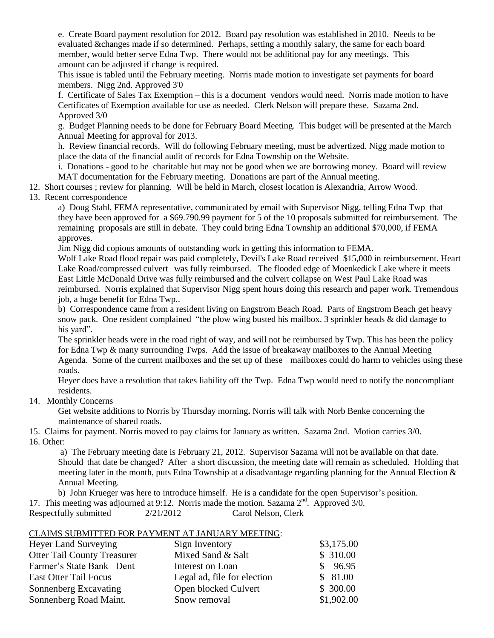e. Create Board payment resolution for 2012. Board pay resolution was established in 2010. Needs to be evaluated &changes made if so determined. Perhaps, setting a monthly salary, the same for each board member, would better serve Edna Twp. There would not be additional pay for any meetings. This amount can be adjusted if change is required.

This issue is tabled until the February meeting. Norris made motion to investigate set payments for board members. Nigg 2nd. Approved 3'0

f. Certificate of Sales Tax Exemption – this is a document vendors would need. Norris made motion to have Certificates of Exemption available for use as needed. Clerk Nelson will prepare these. Sazama 2nd. Approved 3/0

g. Budget Planning needs to be done for February Board Meeting. This budget will be presented at the March Annual Meeting for approval for 2013.

h. Review financial records. Will do following February meeting, must be advertized. Nigg made motion to place the data of the financial audit of records for Edna Township on the Website.

i. Donations - good to be charitable but may not be good when we are borrowing money. Board will review MAT documentation for the February meeting. Donations are part of the Annual meeting.

12. Short courses ; review for planning. Will be held in March, closest location is Alexandria, Arrow Wood.

## 13. Recent correspondence

a) Doug Stahl, FEMA representative, communicated by email with Supervisor Nigg, telling Edna Twp that they have been approved for a \$69.790.99 payment for 5 of the 10 proposals submitted for reimbursement. The remaining proposals are still in debate. They could bring Edna Township an additional \$70,000, if FEMA approves.

Jim Nigg did copious amounts of outstanding work in getting this information to FEMA.

Wolf Lake Road flood repair was paid completely, Devil's Lake Road received \$15,000 in reimbursement. Heart Lake Road/compressed culvert was fully reimbursed. The flooded edge of Moenkedick Lake where it meets East Little McDonald Drive was fully reimbursed and the culvert collapse on West Paul Lake Road was reimbursed. Norris explained that Supervisor Nigg spent hours doing this research and paper work. Tremendous job, a huge benefit for Edna Twp..

b) Correspondence came from a resident living on Engstrom Beach Road. Parts of Engstrom Beach get heavy snow pack. One resident complained "the plow wing busted his mailbox. 3 sprinkler heads & did damage to his vard".

The sprinkler heads were in the road right of way, and will not be reimbursed by Twp. This has been the policy for Edna Twp & many surrounding Twps. Add the issue of breakaway mailboxes to the Annual Meeting Agenda. Some of the current mailboxes and the set up of these mailboxes could do harm to vehicles using these roads.

Heyer does have a resolution that takes liability off the Twp. Edna Twp would need to notify the noncompliant residents.

14. Monthly Concerns

Get website additions to Norris by Thursday morning**.** Norris will talk with Norb Benke concerning the maintenance of shared roads.

15. Claims for payment. Norris moved to pay claims for January as written. Sazama 2nd. Motion carries 3/0. 16. Other:

a) The February meeting date is February 21, 2012. Supervisor Sazama will not be available on that date. Should that date be changed? After a short discussion, the meeting date will remain as scheduled. Holding that meeting later in the month, puts Edna Township at a disadvantage regarding planning for the Annual Election & Annual Meeting.

b) John Krueger was here to introduce himself. He is a candidate for the open Supervisor's position. 17. This meeting was adjourned at 9:12. Norris made the motion. Sazama  $2<sup>nd</sup>$ . Approved  $3/0$ .

Respectfully submitted  $2/21/2012$  Carol Nelson, Clerk

## CLAIMS SUBMITTED FOR PAYMENT AT JANUARY MEETING:

| Heyer Land Surveying               | Sign Inventory              | \$3,175.00 |
|------------------------------------|-----------------------------|------------|
| <b>Otter Tail County Treasurer</b> | Mixed Sand & Salt           | \$310.00   |
| Farmer's State Bank Dent           | Interest on Loan            | \$96.95    |
| <b>East Otter Tail Focus</b>       | Legal ad, file for election | \$81.00    |
| Sonnenberg Excavating              | Open blocked Culvert        | \$300.00   |
| Sonnenberg Road Maint.             | Snow removal                | \$1,902.00 |